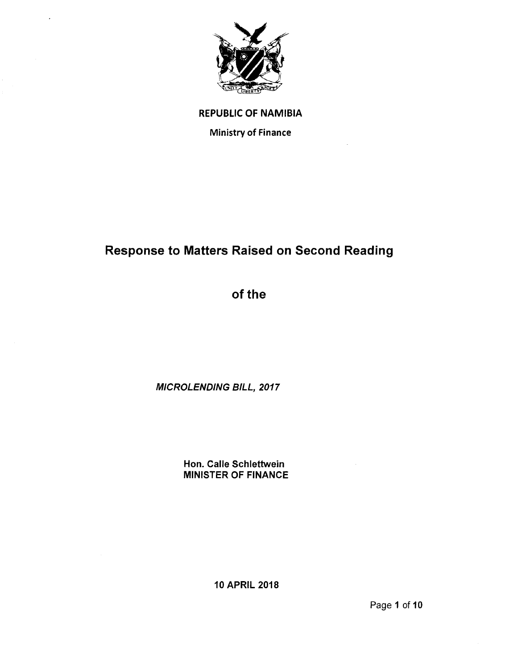

### REPUBLIC OF NAMIBIA

Ministry of Finance

# Response to Matters Raised on Second Reading

of the

*MICROLENDING BILL, 2017*

Hon. Calle Schlettwein MINISTER OF FINANCE

10 APRIL 2018

Page 1 of 10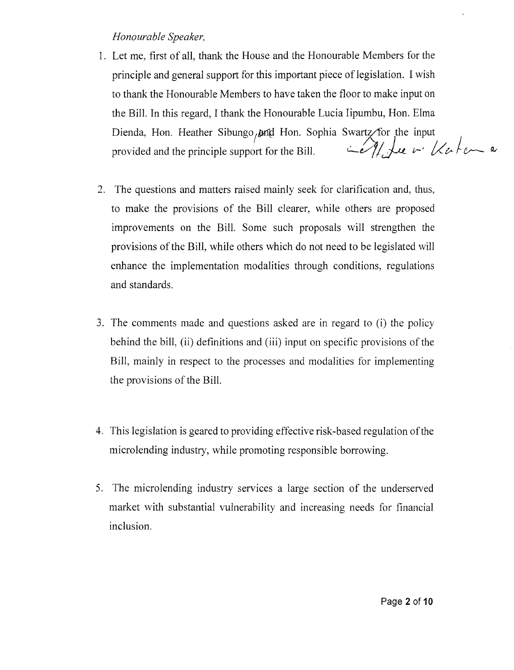### *Honourable Speaker,*

- 1. Let me, first of all, thank the House and the Honourable Members for the principle and general support for this important piece of legislation. I wish to thank the Honourable Members to have taken the floor to make input on the Bill. In this regard, I thank the Honourable Lucia Iipumbu, Hon. Elma Dienda, Hon. Heather Sibungo, and Hon. Sophia Swartz/for the input provided and the principle support for the Bill.  $\left\langle \frac{\partial f}{\partial x} \right\rangle$  be  $\left\langle \frac{\partial f}{\partial y} \right\rangle$  and  $\left\langle \frac{\partial f}{\partial x} \right\rangle$
- 2. The questions and matters raised mainly seek for clarification and, thus, to make the provisions of the Bill clearer, while others are proposed improvements on the Bill. Some such proposals will strengthen the provisions of the Bill, while others which do not need to be legislated will enhance the implementation modalities through conditions, regulations and standards.
- 3. The comments made and questions asked are in regard to (i) the policy behind the bill, (ii) definitions and (iii) input on specific provisions of the Bill, mainly in respect to the processes and modalities for implementing the provisions of the Bill.
- 4. This legislation is geared to providing effective risk-based regulation of the microlending industry, while promoting responsible borrowing.
- 5. The microlending industry services a large section of the underserved market with substantial vulnerability and increasing needs for financial inclusion.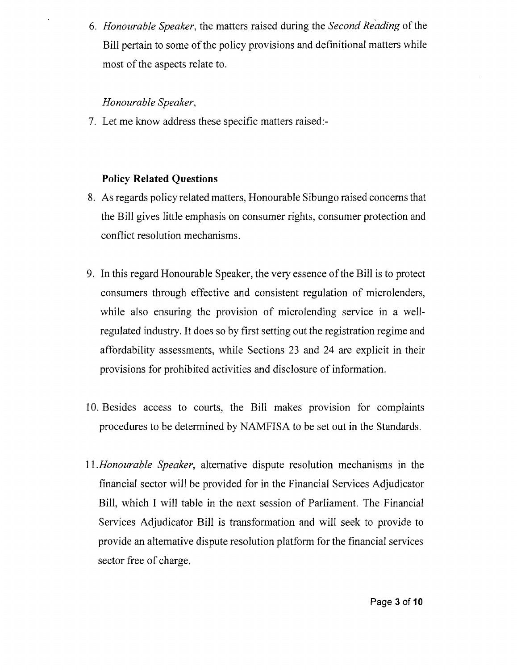*6. Honourable Speaker,* the matters raised during the *Second Reading* of the Bill pertain to some of the policy provisions and definitional matters while most of the aspects relate to.

### *Honourable Speaker,*

7. Let me know address these specific matters raised:-

## **Policy Related Questions**

- 8. As regards policy related matters, Honourable Sibungo raised concerns that the Bill gives little emphasis on consumer rights, consumer protection and conflict resolution mechanisms.
- 9. In this regard Honourable Speaker, the very essence of the Bill is to protect consumers through effective and consistent regulation of microlenders, while also ensuring the provision of microlending service in a wellregulated industry. It does so by first setting out the registration regime and affordability assessments, while Sections 23 and 24 are explicit in their provisions for prohibited activities and disclosure of information.
- IO. Besides access to courts, the Bill makes provision for complaints procedures to be determined by NAMFISA to be set out in the Standards.
- *II.Honourable Speaker,* alternative dispute resolution mechanisms in the financial sector will be provided for in the Financial Services Adjudicator Bill, which I will table in the next session of Parliament. The Financial Services Adjudicator Bill is transformation and will seek to provide to provide an alternative dispute resolution platform for the financial services sector free of charge.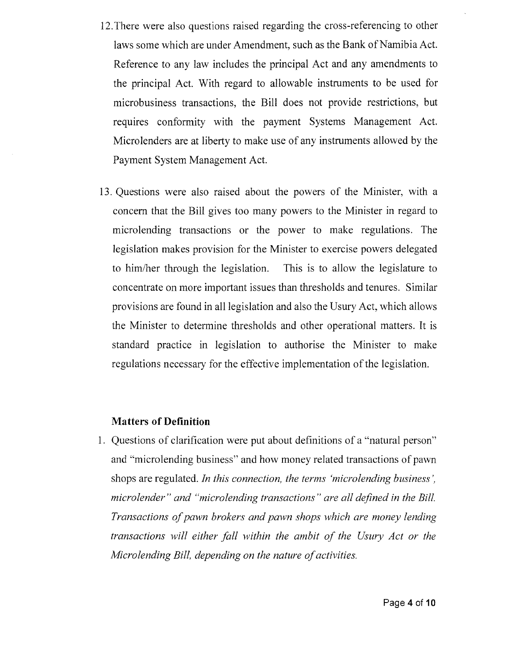- 12.There were also questions raised regarding the cross-referencing to other laws some which are under Amendment, such as the Bank of Namibia Act. Reference to any law includes the principal Act and any amendments to the principal Act. With regard to allowable instruments to be used for microbusiness transactions, the Bill does not provide restrictions, but requires conformity with the payment Systems Management Act. Microlenders are at liberty to make use of any instruments allowed by the Payment System Management Act.
- 13. Questions were also raised about the powers of the Minister, with a concern that the Bill gives too many powers to the Minister in regard to microlending transactions or the power to make regulations. The legislation makes provision for the Minister to exercise powers delegated to him/her through the legislation. This is to allow the legislature to concentrate on more important issues than thresholds and tenures. Similar provisions are found in all legislation and also the Usury Act, which allows the Minister to determine thresholds and other operational matters. It is standard practice in legislation to authorise the Minister to make regulations necessary for the effective implementation of the legislation.

#### **Matters of Definition**

1. Questions of clarification were put about definitions of a "natural person" and "microlending business" and how money related transactions of pawn shops are regulated. *In this connection, the terms 'microlending business', micro lender " and "microlending transactions" are all defined in the Bill. Transactions of pawn brokers and pawn shops which are money lending transactions will either fall within the ambit of the Usury Act or the Microlending Bill, depending on the nature of activities.*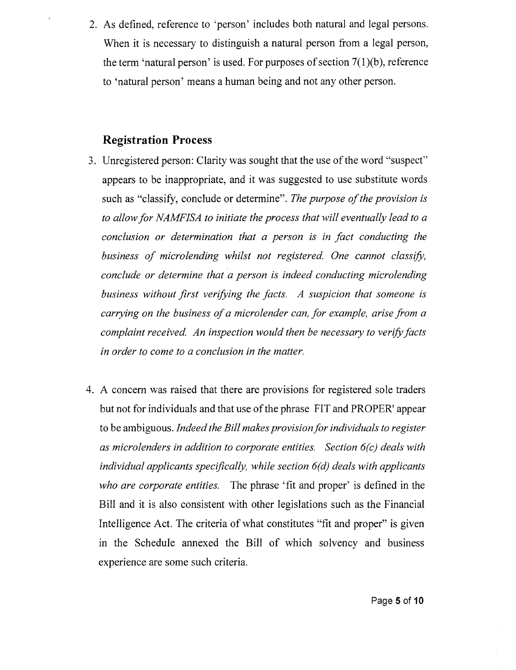2. As defined, reference to 'person' includes both natural and legal persons. When it is necessary to distinguish a natural person from a legal person, the term 'natural person' is used. For purposes of section 7(1)(b), reference to 'natural person' means a human being and not any other person.

### **Registration Process**

- 3. Unregistered person: Clarity was sought that the use of the word "suspect" appears to be inappropriate, and it was suggested to use substitute words such as "classify, conclude or determine". *The purpose of the provision is to allow for NAMFISA to initiate the process that will eventually lead to a conclusion or determination that a person is in fact conducting the business of micro lending whilst not registered. One cannot classify, conclude or determine that a person is indeed conducting microlending business without first verifying the facts. A suspicion that someone is carrying on the business of a micro lender can, for example, arise from a complaint received. An inspection would then be necessary to verify facts in order to come to a conclusion in the matter.*
- 4. A concern was raised that there are provisions for registered sole traders but not for individuals and that use of the phrase FIT and PROPER' appear to be ambiguous. *Indeed the Bill makes provision for individuals to register as microlenders in addition to corporate entities. Section 6(c) deals with individual applicants specifically, while section 6(d) deals with applicants who are corporate entities.* The phrase 'fit and proper' is defined in the Bill and it is also consistent with other legislations such as the Financial Intelligence Act. The criteria of what constitutes "fit and proper" is given in the Schedule annexed the Bill of which solvency and business experience are some such criteria.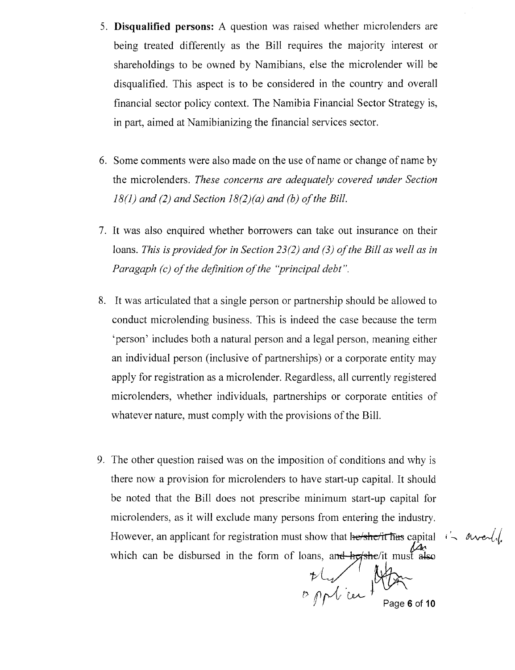- 5. **Disqualified persons:** A question was raised whether microlenders are being treated differently as the Bill requires the majority interest or shareholdings to be owned by Namibians, else the microlender will be disqualified. This aspect is to be considered in the country and overall financial sector policy context. The Namibia Financial Sector Strategy is, in part, aimed at Namibianizing the financial services sector.
- 6. Some comments were also made on the use of name or change of name by the microlenders. *These concerns are adequately covered under Section 18(1) and* (2) *and Section 18(2)(a) and (b) of the Bill.*
- 7. It was also enquired whether borrowers can take out insurance on their loans. *This is provided/or in Section* 23(2) *and* (3) *of the Bill as well as in Paragaph (c) of the definition of the "principal debt".*
- 8. It was articulated that a single person or partnership should be allowed to conduct microlending business. This is indeed the case because the term 'person' includes both a natural person and a legal person, meaning either an individual person (inclusive of partnerships) or a corporate entity may apply for registration as a microlender. Regardless, all currently registered microlenders, whether individuals, partnerships or corporate entities of whatever nature, must comply with the provisions of the Bill.
- 9. The other question raised was on the imposition of conditions and why is there now a provision for microlenders to have start-up capital. It should be noted that the Bill does not prescribe minimum start-up capital for microlenders, as it will exclude many persons from entering the industry. However, an applicant for registration must show that he she fit has capital  $i$ . *dwell*. which can be disbursed in the form of loans, an<del>d  $h\sigma$ she</del>/it must also

 $\nu L_{\nu}/l_{\nu}$  $D$   $D$   $\mathcal{N}$ , lex  $\int$ <sup>'</sup> $\int$ <sup>'</sup>  $\int$ <sup>o</sup>  $\int$ <sup>o</sup> Page 6 of 10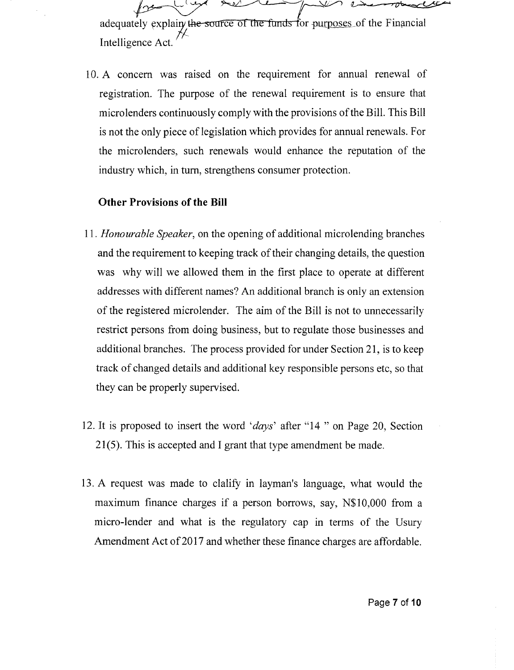$\mu$   $\sim$   $\mu$   $\sim$   $\sim$   $\mu$ adequately explainy the source of the funds for purposes of the Financial

Intelligence Act.

10. A concern was raised on the requirement for annual renewal of registration. The purpose of the renewal requirement is to ensure that microlenders continuously comply with the provisions of the Bill. This Bill is not the only piece of legislation which provides for annual renewals. For the microlenders, such renewals would enhance the reputation of the industry which, in turn, strengthens consumer protection.

#### **Other Provisions of the Bill**

- *11. Honourable Speaker,* on the opening of additional micro lending branches and the requirement to keeping track of their changing details, the question was why will we allowed them in the first place to operate at different addresses with different names? An additional branch is only an extension of the registered microlender. The aim of the Bill is not to unnecessarily restrict persons from doing business, but to regulate those businesses and additional branches. The process provided for under Section 21, is to keep track of changed details and additional key responsible persons etc, so that they can be properly supervised.
- 12. It is proposed to insert the word *'days'* after "14 " on Page 20, Section 21(5). This is accepted and I grant that type amendment be made.
- 13. A request was made to clalify in layman's language, what would the maximum finance charges if a person borrows, say, N\$lO,OOO from a micro-lender and what is the regulatory cap in terms of the Usury Amendment Act of 2017 and whether these finance charges are affordable.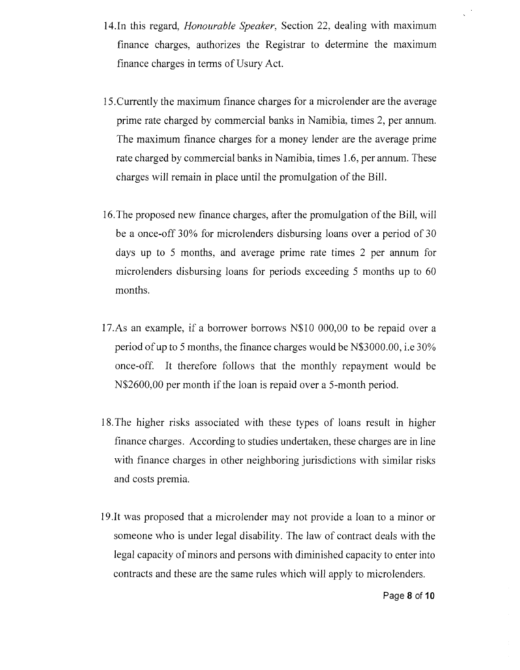- 14.In this regard, *Honourable Speaker,* Section 22, dealing with maximum finance charges, authorizes the Registrar to determine the maximum finance charges in terms of Usury Act.
- 15.Currently the maximum finance charges for a microlender are the average prime rate charged by commercial banks in Namibia, times 2, per annum. The maximum finance charges for a money lender are the average prime rate charged by commercial banks in Namibia, times 1.6, per annum. These charges will remain in place until the promulgation of the Bill.
- 16.The proposed new finance charges, after the promulgation of the Bill, will be a once-off 30% for microlenders disbursing loans over a period of 30 days up to 5 months, and average prime rate times 2 per annum for microlenders disbursing loans for periods exceeding 5 months up to 60 months.
- 17.As an example, if a borrower borrows N\$10 000,00 to be repaid over a period of up to 5 months, the finance charges would be N\$3000.00, i.e 30% once-off. It therefore follows that the monthly repayment would be N\$2600,OO per month if the loan is repaid over a 5-month period.
- 18.The higher risks associated with these types of loans result in higher finance charges. According to studies undertaken, these charges are in line with finance charges in other neighboring jurisdictions with similar risks and costs premia.
- 19. It was proposed that a microlender may not provide a loan to a minor or someone who is under legal disability. The law of contract deals with the legal capacity of minors and persons with diminished capacity to enter into contracts and these are the same rules which will apply to microlenders.

 $\bar{\mathcal{A}}$  $\ddot{\phantom{a}}$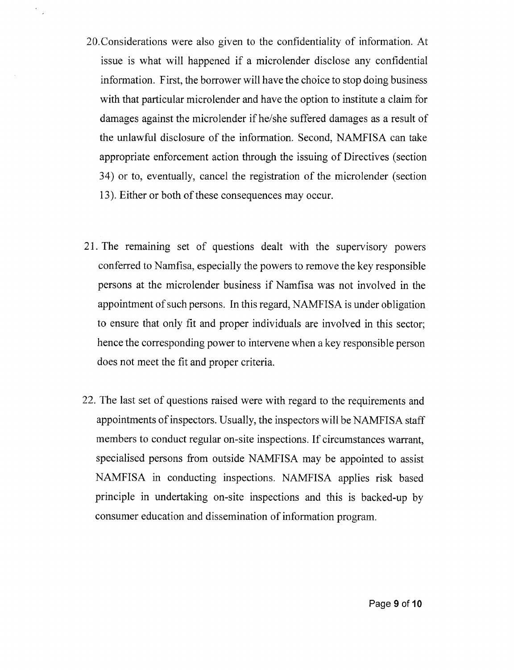- 20.Considerations were also given to the confidentiality of information. At issue is what will happened if a microlender disclose any confidential information. First, the borrower will have the choice to stop doing business with that particular microlender and have the option to institute a claim for damages against the microlender if he/she suffered damages as a result of the unlawful disclosure of the information. Second, NAMFISA can take appropriate enforcement action through the issuing of Directives (section 34) or to, eventually, cancel the registration of the microlender (section 13). Either or both of these consequences may occur.
- 21. The remaining set of questions dealt with the supervisory powers conferred to Namfisa, especially the powers to remove the key responsible persons at the microlender business if Namfisa was not involved in the appointment of such persons. In this regard, NAMFISA is under obligation to ensure that only fit and proper individuals are involved in this sector; hence the corresponding power to intervene when a key responsible person does not meet the fit and proper criteria.
- 22. The last set of questions raised were with regard to the requirements and appointments of inspectors. Usually, the inspectors will be NAMFISA staff members to conduct regular on-site inspections. If circumstances warrant, specialised persons from outside NAMFISA may be appointed to assist NAMFISA in conducting inspections. NAMFISA applies risk based principle in undertaking on-site inspections and this is backed-up by consumer education and dissemination of information program.